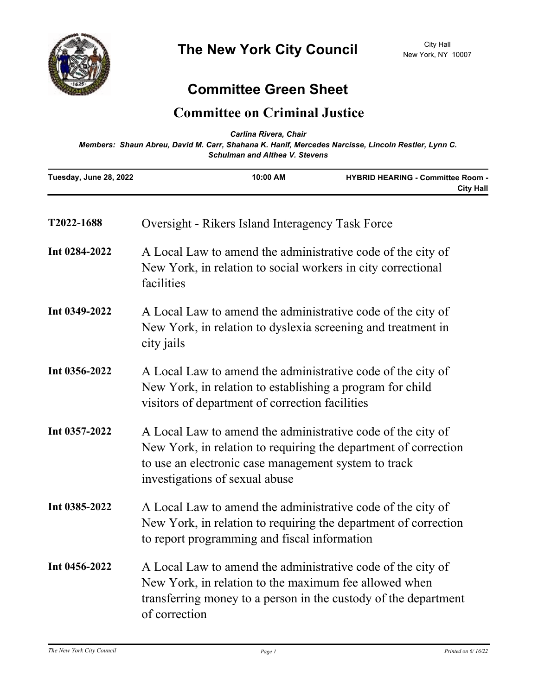

## **Committee Green Sheet**

## **Committee on Criminal Justice**

| Carlina Rivera, Chair<br>Members: Shaun Abreu, David M. Carr, Shahana K. Hanif, Mercedes Narcisse, Lincoln Restler, Lynn C.<br><b>Schulman and Althea V. Stevens</b> |                                                                                                                                                                                                                          |          |                                                              |
|----------------------------------------------------------------------------------------------------------------------------------------------------------------------|--------------------------------------------------------------------------------------------------------------------------------------------------------------------------------------------------------------------------|----------|--------------------------------------------------------------|
| Tuesday, June 28, 2022                                                                                                                                               |                                                                                                                                                                                                                          | 10:00 AM | <b>HYBRID HEARING - Committee Room -</b><br><b>City Hall</b> |
| T2022-1688                                                                                                                                                           | Oversight - Rikers Island Interagency Task Force                                                                                                                                                                         |          |                                                              |
| Int 0284-2022                                                                                                                                                        | A Local Law to amend the administrative code of the city of<br>New York, in relation to social workers in city correctional<br>facilities                                                                                |          |                                                              |
| Int 0349-2022                                                                                                                                                        | A Local Law to amend the administrative code of the city of<br>New York, in relation to dyslexia screening and treatment in<br>city jails                                                                                |          |                                                              |
| Int 0356-2022                                                                                                                                                        | A Local Law to amend the administrative code of the city of<br>New York, in relation to establishing a program for child<br>visitors of department of correction facilities                                              |          |                                                              |
| Int 0357-2022                                                                                                                                                        | A Local Law to amend the administrative code of the city of<br>New York, in relation to requiring the department of correction<br>to use an electronic case management system to track<br>investigations of sexual abuse |          |                                                              |
| Int 0385-2022                                                                                                                                                        | A Local Law to amend the administrative code of the city of<br>New York, in relation to requiring the department of correction<br>to report programming and fiscal information                                           |          |                                                              |
| Int 0456-2022                                                                                                                                                        | A Local Law to amend the administrative code of the city of<br>New York, in relation to the maximum fee allowed when<br>transferring money to a person in the custody of the department<br>of correction                 |          |                                                              |